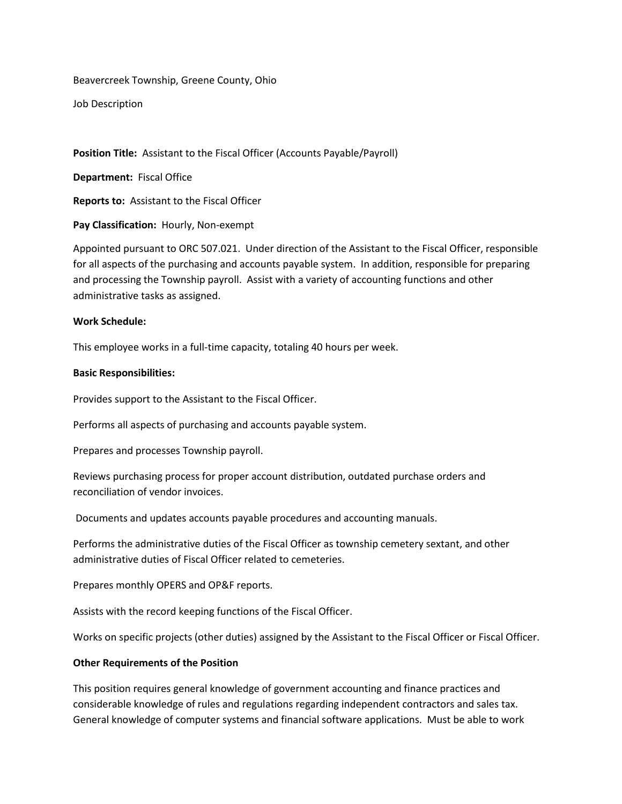Beavercreek Township, Greene County, Ohio

Job Description

**Position Title:** Assistant to the Fiscal Officer (Accounts Payable/Payroll)

**Department:** Fiscal Office

**Reports to:** Assistant to the Fiscal Officer

**Pay Classification:** Hourly, Non-exempt

Appointed pursuant to ORC 507.021. Under direction of the Assistant to the Fiscal Officer, responsible for all aspects of the purchasing and accounts payable system. In addition, responsible for preparing and processing the Township payroll. Assist with a variety of accounting functions and other administrative tasks as assigned.

## **Work Schedule:**

This employee works in a full-time capacity, totaling 40 hours per week.

## **Basic Responsibilities:**

Provides support to the Assistant to the Fiscal Officer.

Performs all aspects of purchasing and accounts payable system.

Prepares and processes Township payroll.

Reviews purchasing process for proper account distribution, outdated purchase orders and reconciliation of vendor invoices.

Documents and updates accounts payable procedures and accounting manuals.

Performs the administrative duties of the Fiscal Officer as township cemetery sextant, and other administrative duties of Fiscal Officer related to cemeteries.

Prepares monthly OPERS and OP&F reports.

Assists with the record keeping functions of the Fiscal Officer.

Works on specific projects (other duties) assigned by the Assistant to the Fiscal Officer or Fiscal Officer.

## **Other Requirements of the Position**

This position requires general knowledge of government accounting and finance practices and considerable knowledge of rules and regulations regarding independent contractors and sales tax. General knowledge of computer systems and financial software applications. Must be able to work